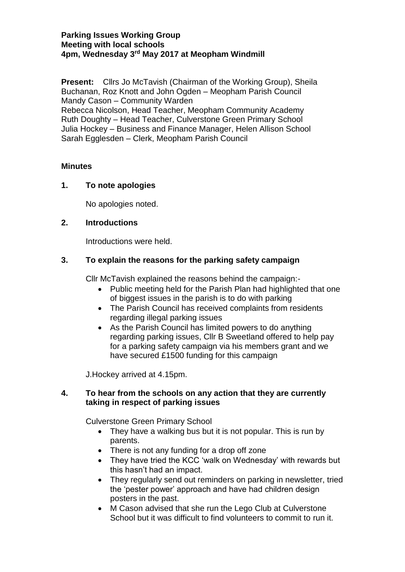#### **Parking Issues Working Group Meeting with local schools 4pm, Wednesday 3 rd May 2017 at Meopham Windmill**

**Present:** Cllrs Jo McTavish (Chairman of the Working Group), Sheila Buchanan, Roz Knott and John Ogden – Meopham Parish Council Mandy Cason – Community Warden Rebecca Nicolson, Head Teacher, Meopham Community Academy Ruth Doughty – Head Teacher, Culverstone Green Primary School Julia Hockey – Business and Finance Manager, Helen Allison School Sarah Egglesden – Clerk, Meopham Parish Council

#### **Minutes**

# **1. To note apologies**

No apologies noted.

# **2. Introductions**

Introductions were held.

# **3. To explain the reasons for the parking safety campaign**

Cllr McTavish explained the reasons behind the campaign:-

- Public meeting held for the Parish Plan had highlighted that one of biggest issues in the parish is to do with parking
- The Parish Council has received complaints from residents regarding illegal parking issues
- As the Parish Council has limited powers to do anything regarding parking issues, Cllr B Sweetland offered to help pay for a parking safety campaign via his members grant and we have secured £1500 funding for this campaign

J.Hockey arrived at 4.15pm.

# **4. To hear from the schools on any action that they are currently taking in respect of parking issues**

Culverstone Green Primary School

- They have a walking bus but it is not popular. This is run by parents.
- There is not any funding for a drop off zone
- They have tried the KCC 'walk on Wednesday' with rewards but this hasn't had an impact.
- They regularly send out reminders on parking in newsletter, tried the 'pester power' approach and have had children design posters in the past.
- M Cason advised that she run the Lego Club at Culverstone School but it was difficult to find volunteers to commit to run it.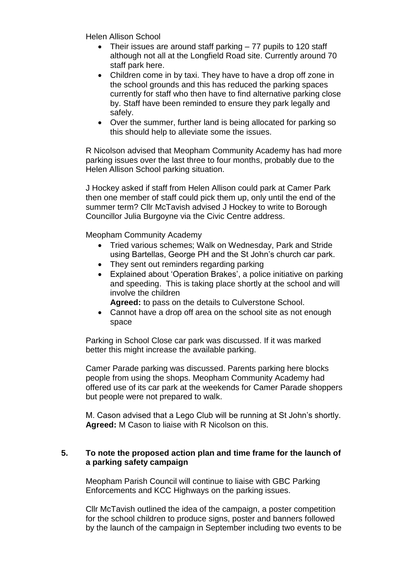Helen Allison School

- Their issues are around staff parking 77 pupils to 120 staff although not all at the Longfield Road site. Currently around 70 staff park here.
- Children come in by taxi. They have to have a drop off zone in the school grounds and this has reduced the parking spaces currently for staff who then have to find alternative parking close by. Staff have been reminded to ensure they park legally and safely.
- Over the summer, further land is being allocated for parking so this should help to alleviate some the issues.

R Nicolson advised that Meopham Community Academy has had more parking issues over the last three to four months, probably due to the Helen Allison School parking situation.

J Hockey asked if staff from Helen Allison could park at Camer Park then one member of staff could pick them up, only until the end of the summer term? Cllr McTavish advised J Hockey to write to Borough Councillor Julia Burgoyne via the Civic Centre address.

Meopham Community Academy

- Tried various schemes; Walk on Wednesday, Park and Stride using Bartellas, George PH and the St John's church car park.
- They sent out reminders regarding parking
- Explained about 'Operation Brakes', a police initiative on parking and speeding. This is taking place shortly at the school and will involve the children

**Agreed:** to pass on the details to Culverstone School.

• Cannot have a drop off area on the school site as not enough space

Parking in School Close car park was discussed. If it was marked better this might increase the available parking.

Camer Parade parking was discussed. Parents parking here blocks people from using the shops. Meopham Community Academy had offered use of its car park at the weekends for Camer Parade shoppers but people were not prepared to walk.

M. Cason advised that a Lego Club will be running at St John's shortly. **Agreed:** M Cason to liaise with R Nicolson on this.

#### **5. To note the proposed action plan and time frame for the launch of a parking safety campaign**

Meopham Parish Council will continue to liaise with GBC Parking Enforcements and KCC Highways on the parking issues.

Cllr McTavish outlined the idea of the campaign, a poster competition for the school children to produce signs, poster and banners followed by the launch of the campaign in September including two events to be